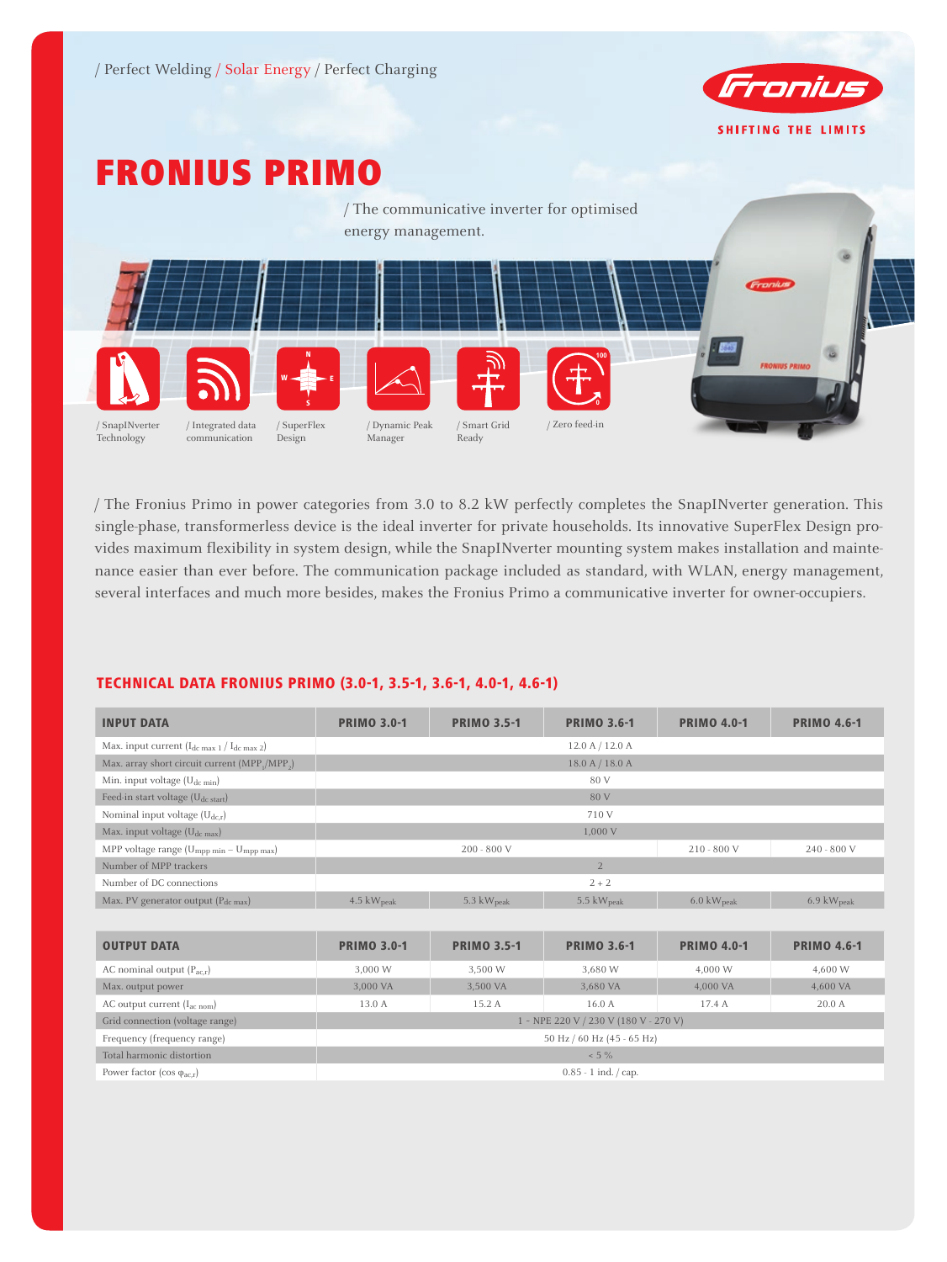

# Fronius Primo



/ The Fronius Primo in power categories from 3.0 to 8.2 kW perfectly completes the SnapINverter generation. This single-phase, transformerless device is the ideal inverter for private households. Its innovative SuperFlex Design provides maximum flexibility in system design, while the SnapINverter mounting system makes installation and maintenance easier than ever before. The communication package included as standard, with WLAN, energy management, several interfaces and much more besides, makes the Fronius Primo a communicative inverter for owner-occupiers.

# TECHNICAL DATA FRONIUS PRIMO (3.0-1, 3.5-1, 3.6-1, 4.0-1, 4.6-1)

| <b>INPUT DATA</b>                                                   | <b>PRIMO 3.0-1</b>                                                                                         | <b>PRIMO 3.5-1</b>     | <b>PRIMO 3.6-1</b>                 | <b>PRIMO 4.0-1</b>             | <b>PRIMO 4.6-1</b>      |  |  |
|---------------------------------------------------------------------|------------------------------------------------------------------------------------------------------------|------------------------|------------------------------------|--------------------------------|-------------------------|--|--|
| Max. input current (I <sub>dc max 1</sub> / I <sub>dc max 2</sub> ) |                                                                                                            |                        | 12.0 A / 12.0 A                    |                                |                         |  |  |
| Max. array short circuit current (MPP,/MPP,)                        |                                                                                                            |                        | 18.0 A / 18.0 A                    |                                |                         |  |  |
| Min. input voltage $(U_{dc,min})$                                   |                                                                                                            |                        | 80 V                               |                                |                         |  |  |
| Feed-in start voltage (U <sub>dc start</sub> )                      |                                                                                                            | 80 V                   |                                    |                                |                         |  |  |
| Nominal input voltage $(U_{dc,r})$                                  |                                                                                                            | 710 V                  |                                    |                                |                         |  |  |
| Max. input voltage (U <sub>dc max</sub> )                           |                                                                                                            | 1,000 V                |                                    |                                |                         |  |  |
| MPP voltage range $(U_{mpp\ min} - U_{mpp\ max})$                   | $210 - 800$ V<br>$200 - 800$ V<br>240 - 800 V                                                              |                        |                                    |                                |                         |  |  |
| Number of MPP trackers                                              | $\overline{2}$                                                                                             |                        |                                    |                                |                         |  |  |
| Number of DC connections                                            |                                                                                                            |                        | $2 + 2$                            |                                |                         |  |  |
| Max. PV generator output $(P_{dc max})$                             | $4.5 \text{ kW}_{\text{peak}}$                                                                             | 5.3 $kW_{\text{peak}}$ | 5.5 $kW_{peak}$                    | $6.0 \text{ kW}_{\text{peak}}$ | 6.9 k $W_{\text{peak}}$ |  |  |
|                                                                     |                                                                                                            |                        |                                    |                                |                         |  |  |
| <b>OUTPUT DATA</b>                                                  | <b>PRIMO 3.0-1</b><br><b>PRIMO 3.5-1</b><br><b>PRIMO 3.6-1</b><br><b>PRIMO 4.0-1</b><br><b>PRIMO 4.6-1</b> |                        |                                    |                                |                         |  |  |
| AC nominal output $(P_{ac,r})$                                      | 3,000 W                                                                                                    | 3,500 W                | 3,680 W                            | 4,000 W                        | 4,600 W                 |  |  |
| Max. output power                                                   | 3,000 VA                                                                                                   | 3,500 VA               | 3,680 VA                           | 4,000 VA                       | 4,600 VA                |  |  |
| AC output current (I <sub>ac nom</sub> )                            | 13.0 A<br>15.2 A<br>16.0 A<br>17.4 A<br>20.0 A                                                             |                        |                                    |                                |                         |  |  |
| Grid connection (voltage range)                                     | $1$ ~ NPE 220 V / 230 V (180 V - 270 V)                                                                    |                        |                                    |                                |                         |  |  |
| Frequency (frequency range)                                         | 50 Hz / 60 Hz (45 - 65 Hz)                                                                                 |                        |                                    |                                |                         |  |  |
| Total harmonic distortion                                           |                                                                                                            |                        | $< 5 \%$                           |                                |                         |  |  |
| Power factor ( $cos \varphi_{ac,r}$ )                               |                                                                                                            |                        | $0.85 - 1$ ind. $\frac{1}{2}$ cap. |                                |                         |  |  |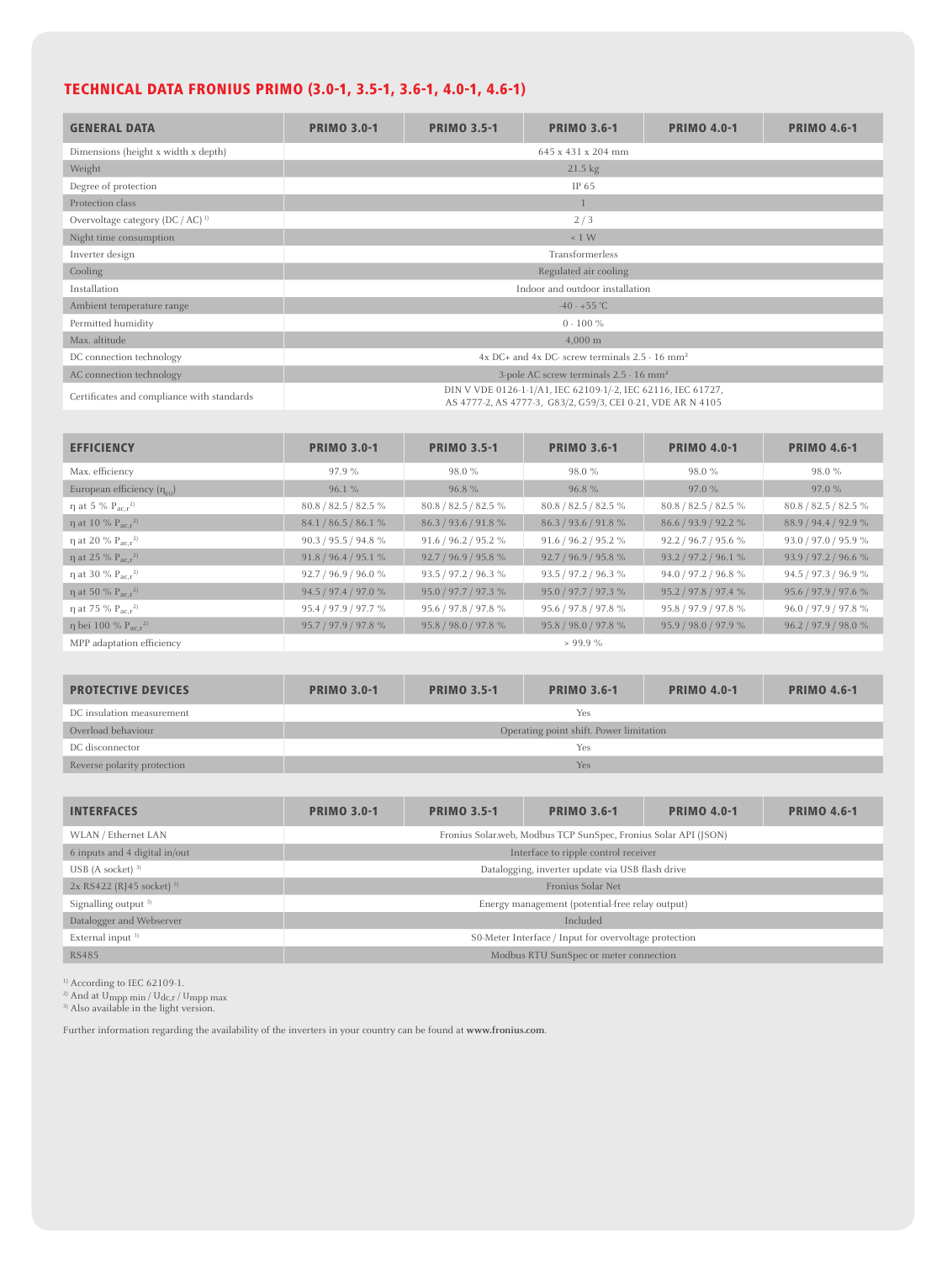# TECHNICAL DATA FRONIUS PRIMO (3.0-1, 3.5-1, 3.6-1, 4.0-1, 4.6-1)

| <b>GENERAL DATA</b>                          | <b>PRIMO 3.0-1</b>                                         | <b>PRIMO 3.5-1</b>                                 | <b>PRIMO 3.6-1</b>                                                                                                          | <b>PRIMO 4.0-1</b> | <b>PRIMO 4.6-1</b> |  |  |
|----------------------------------------------|------------------------------------------------------------|----------------------------------------------------|-----------------------------------------------------------------------------------------------------------------------------|--------------------|--------------------|--|--|
| Dimensions (height x width x depth)          |                                                            | 645 x 431 x 204 mm                                 |                                                                                                                             |                    |                    |  |  |
| Weight                                       |                                                            | $21.5 \text{ kg}$                                  |                                                                                                                             |                    |                    |  |  |
| Degree of protection                         |                                                            | IP 65                                              |                                                                                                                             |                    |                    |  |  |
| Protection class                             |                                                            |                                                    |                                                                                                                             |                    |                    |  |  |
| Overvoltage category (DC / AC) <sup>1)</sup> |                                                            |                                                    | 2/3                                                                                                                         |                    |                    |  |  |
| Night time consumption                       |                                                            |                                                    | < 1 W                                                                                                                       |                    |                    |  |  |
| Inverter design                              | Transformerless                                            |                                                    |                                                                                                                             |                    |                    |  |  |
| Cooling                                      | Regulated air cooling                                      |                                                    |                                                                                                                             |                    |                    |  |  |
| Installation                                 | Indoor and outdoor installation                            |                                                    |                                                                                                                             |                    |                    |  |  |
| Ambient temperature range                    | $-40 - +55$ °C                                             |                                                    |                                                                                                                             |                    |                    |  |  |
| Permitted humidity                           | $0 - 100 \%$                                               |                                                    |                                                                                                                             |                    |                    |  |  |
| Max. altitude                                | $4,000 \; \mathrm{m}$                                      |                                                    |                                                                                                                             |                    |                    |  |  |
| DC connection technology                     | 4x DC+ and 4x DC- screw terminals 2.5 - 16 mm <sup>2</sup> |                                                    |                                                                                                                             |                    |                    |  |  |
| AC connection technology                     |                                                            | 3-pole AC screw terminals 2.5 - 16 mm <sup>2</sup> |                                                                                                                             |                    |                    |  |  |
| Certificates and compliance with standards   |                                                            |                                                    | DIN V VDE 0126-1-1/A1, IEC 62109-1/-2, IEC 62116, IEC 61727,<br>AS 4777-2, AS 4777-3, G83/2, G59/3, CEI 0-21, VDE AR N 4105 |                    |                    |  |  |

| <b>EFFICIENCY</b>                         | <b>PRIMO 3.0-1</b>   | <b>PRIMO 3.5-1</b>   | <b>PRIMO 3.6-1</b>   | <b>PRIMO 4.0-1</b>   | <b>PRIMO 4.6-1</b>   |
|-------------------------------------------|----------------------|----------------------|----------------------|----------------------|----------------------|
| Max. efficiency                           | 97.9%                | 98.0%                | 98.0 %               | 98.0%                | 98.0 %               |
| European efficiency $(\eta_{\text{ext}})$ | 96.1%                | 96.8%                | 96.8%                | 97.0%                | 97.0%                |
| $\eta$ at 5 % $P_{\text{ac}}r^{2}$        | 80.8 / 82.5 / 82.5 % | 80.8 / 82.5 / 82.5 % | 80.8 / 82.5 / 82.5 % | 80.8 / 82.5 / 82.5 % | 80.8 / 82.5 / 82.5 % |
| $\eta$ at 10 % $P_{\text{ac}}r^{2}$       | 84.1 / 86.5 / 86.1 % | 86.3 / 93.6 / 91.8 % | 86.3 / 93.6 / 91.8 % | 86.6 / 93.9 / 92.2 % | 88.9 / 94.4 / 92.9 % |
| η at 20 % $P_{ac.r}^{2}$                  | 90.3 / 95.5 / 94.8 % | 91.6 / 96.2 / 95.2 % | 91.6 / 96.2 / 95.2 % | 92.2 / 96.7 / 95.6 % | 93.0 / 97.0 / 95.9 % |
| $\eta$ at 25 % $P_{ac,r}^{2}$             | 91.8 / 96.4 / 95.1 % | 92.7 / 96.9 / 95.8 % | 92.7 / 96.9 / 95.8 % | 93.2 / 97.2 / 96.1 % | 93.9 / 97.2 / 96.6 % |
| η at 30 % $P_{ac.r}$ <sup>2)</sup>        | 92.7 / 96.9 / 96.0 % | 93.5 / 97.2 / 96.3 % | 93.5 / 97.2 / 96.3 % | 94.0 / 97.2 / 96.8 % | 94.5 / 97.3 / 96.9 % |
| $\eta$ at 50 % $P_{\text{ac}}r^{2}$       | 94.5 / 97.4 / 97.0 % | 95.0 / 97.7 / 97.3 % | 95.0 / 97.7 / 97.3 % | 95.2 / 97.8 / 97.4 % | 95.6 / 97.9 / 97.6 % |
| η at 75 % $P_{ac.r}^{2}$                  | 95.4 / 97.9 / 97.7 % | 95.6 / 97.8 / 97.8 % | 95.6 / 97.8 / 97.8 % | 95.8 / 97.9 / 97.8 % | 96.0 / 97.9 / 97.8 % |
| $\eta$ bei 100 % $P_{acc}^{2}$            | 95.7 / 97.9 / 97.8 % | 95.8 / 98.0 / 97.8 % | 95.8 / 98.0 / 97.8 % | 95.9 / 98.0 / 97.9 % | 96.2 / 97.9 / 98.0 % |
| MPP adaptation efficiency                 |                      |                      | $> 99.9\%$           |                      |                      |

| <b>PROTECTIVE DEVICES</b>   | <b>PRIMO 3.0-1</b>                      | <b>PRIMO 3.5-1</b> | <b>PRIMO 3.6-1</b> | <b>PRIMO 4.0-1</b> | <b>PRIMO 4.6-1</b> |  |
|-----------------------------|-----------------------------------------|--------------------|--------------------|--------------------|--------------------|--|
| DC insulation measurement   | Yes                                     |                    |                    |                    |                    |  |
| Overload behaviour          | Operating point shift. Power limitation |                    |                    |                    |                    |  |
| DC disconnector             | Yes                                     |                    |                    |                    |                    |  |
| Reverse polarity protection | Yes                                     |                    |                    |                    |                    |  |
|                             |                                         |                    |                    |                    |                    |  |

| <b>INTERFACES</b>                      | <b>PRIMO 3.0-1</b>                                              | <b>PRIMO 3.5-1</b>                   | <b>PRIMO 3.6-1</b>                     | <b>PRIMO 4.0-1</b> | <b>PRIMO 4.6-1</b> |  |  |
|----------------------------------------|-----------------------------------------------------------------|--------------------------------------|----------------------------------------|--------------------|--------------------|--|--|
| WLAN / Ethernet LAN                    | Fronius Solar.web, Modbus TCP SunSpec, Fronius Solar API (JSON) |                                      |                                        |                    |                    |  |  |
| 6 inputs and 4 digital in/out          |                                                                 | Interface to ripple control receiver |                                        |                    |                    |  |  |
| USB (A socket) $3$                     | Datalogging, inverter update via USB flash drive                |                                      |                                        |                    |                    |  |  |
| $2x$ RS422 (RJ45 socket) <sup>3)</sup> | Fronius Solar Net                                               |                                      |                                        |                    |                    |  |  |
| Signalling output <sup>3)</sup>        | Energy management (potential-free relay output)                 |                                      |                                        |                    |                    |  |  |
| Datalogger and Webserver               | Included                                                        |                                      |                                        |                    |                    |  |  |
| External input <sup>3)</sup>           | S0-Meter Interface / Input for overvoltage protection           |                                      |                                        |                    |                    |  |  |
| <b>RS485</b>                           |                                                                 |                                      | Modbus RTU SunSpec or meter connection |                    |                    |  |  |

1) According to IEC 62109-1.

<sup>2)</sup> And at U<sub>mpp min</sub> / U<sub>dc,r</sub> / U<sub>mpp max</sub>  $^{3}$  Also available in the light version.

Further information regarding the availability of the inverters in your country can be found at **www.fronius.com**.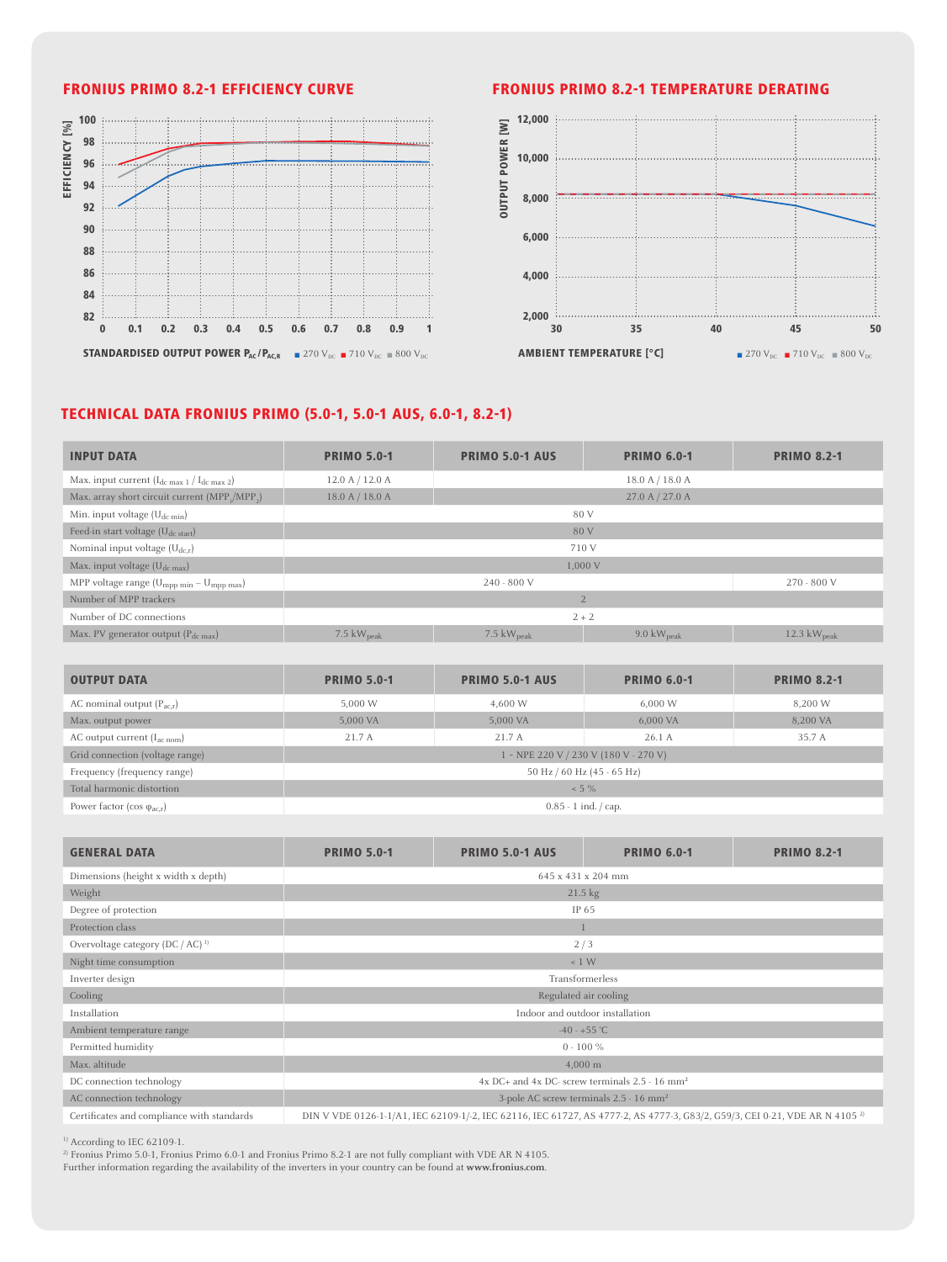

# FRONIUS Primo 8.2-1 Efficiency curve FRONIUS Primo 8.2-1 Temperature derating



## TECHNICAL DATA FRONIUS PRIMO (5.0-1, 5.0-1 AUS, 6.0-1, 8.2-1)

| <b>INPUT DATA</b>                                         | <b>PRIMO 5.0-1</b>             | <b>PRIMO 5.0-1 AUS</b> | <b>PRIMO 6.0-1</b>     | <b>PRIMO 8.2-1</b>      |  |  |
|-----------------------------------------------------------|--------------------------------|------------------------|------------------------|-------------------------|--|--|
| Max. input current $(I_{dc \max 1} / I_{dc \max 2})$      | 12.0 A / 12.0 A                |                        |                        |                         |  |  |
| Max. array short circuit current (MPP,/MPP <sub>2</sub> ) | 18.0 A / 18.0 A                | 27.0 A / 27.0 A        |                        |                         |  |  |
| Min. input voltage $(U_{dc,min})$                         |                                | 80 V                   |                        |                         |  |  |
| Feed-in start voltage (U <sub>dc start</sub> )            | 80 V                           |                        |                        |                         |  |  |
| Nominal input voltage $(U_{dc,r})$                        | 710 V                          |                        |                        |                         |  |  |
| Max. input voltage (U <sub>dc max</sub> )                 |                                | 1.000 V                |                        |                         |  |  |
| MPP voltage range $(U_{mpp \ min} - U_{mpp \ max})$       | $240 - 800$ V<br>$270 - 800$ V |                        |                        |                         |  |  |
| Number of MPP trackers                                    | $\overline{2}$                 |                        |                        |                         |  |  |
| Number of DC connections                                  | $2 + 2$                        |                        |                        |                         |  |  |
| Max. PV generator output $(P_{dc max})$                   | $7.5 \text{ kW}_{\text{peak}}$ | 7.5 $kW_{\text{peak}}$ | 9.0 $kW_{\text{peak}}$ | 12.3 $kW_{\text{peak}}$ |  |  |

| <b>OUTPUT DATA</b>                          | <b>PRIMO 5.0-1</b>         | <b>PRIMO 5.0-1 AUS</b>                | <b>PRIMO 6.0-1</b>                                | <b>PRIMO 8.2-1</b> |  |  |
|---------------------------------------------|----------------------------|---------------------------------------|---------------------------------------------------|--------------------|--|--|
| AC nominal output $(P_{ac,r})$              | 5,000 W                    | 4,600 W                               | 6,000 W                                           | 8,200 W            |  |  |
| Max. output power                           | 5,000 VA                   | 5,000 VA                              | 6,000 VA                                          | 8,200 VA           |  |  |
| AC output current $(I_{ac\; nom})$          | 21.7 A                     | 21.7 A                                | 26.1A                                             | 35.7 A             |  |  |
| Grid connection (voltage range)             |                            | 1 ~ NPE 220 V / 230 V (180 V - 270 V) |                                                   |                    |  |  |
| Frequency (frequency range)                 | 50 Hz / 60 Hz (45 - 65 Hz) |                                       |                                                   |                    |  |  |
| Total harmonic distortion                   | $< 5 \%$                   |                                       |                                                   |                    |  |  |
| Power factor (cos $\varphi_{\text{ac,r}}$ ) |                            |                                       | $0.85 - 1$ ind. $\frac{\text{cap.}}{\text{cap.}}$ |                    |  |  |

| <b>GENERAL DATA</b>                          | <b>PRIMO 5.0-1</b>                                             | <b>PRIMO 5.0-1 AUS</b>          | <b>PRIMO 6.0-1</b>                                                                                                                    | <b>PRIMO 8.2-1</b> |  |  |  |
|----------------------------------------------|----------------------------------------------------------------|---------------------------------|---------------------------------------------------------------------------------------------------------------------------------------|--------------------|--|--|--|
| Dimensions (height x width x depth)          |                                                                |                                 | 645 x 431 x 204 mm                                                                                                                    |                    |  |  |  |
| Weight                                       |                                                                |                                 | $21.5 \text{ kg}$                                                                                                                     |                    |  |  |  |
| Degree of protection                         |                                                                |                                 | IP 65                                                                                                                                 |                    |  |  |  |
| Protection class                             |                                                                |                                 |                                                                                                                                       |                    |  |  |  |
| Overvoltage category (DC / AC) <sup>1)</sup> |                                                                |                                 | 2/3                                                                                                                                   |                    |  |  |  |
| Night time consumption                       |                                                                | < 1 W                           |                                                                                                                                       |                    |  |  |  |
| Inverter design                              | Transformerless                                                |                                 |                                                                                                                                       |                    |  |  |  |
| Cooling                                      | Regulated air cooling                                          |                                 |                                                                                                                                       |                    |  |  |  |
| Installation                                 |                                                                | Indoor and outdoor installation |                                                                                                                                       |                    |  |  |  |
| Ambient temperature range                    |                                                                |                                 | $-40 - +55$ °C                                                                                                                        |                    |  |  |  |
| Permitted humidity                           | $0 - 100 \%$                                                   |                                 |                                                                                                                                       |                    |  |  |  |
| Max. altitude                                | $4,000 \; \mathrm{m}$                                          |                                 |                                                                                                                                       |                    |  |  |  |
| DC connection technology                     | $4x$ DC+ and $4x$ DC- screw terminals 2.5 - 16 mm <sup>2</sup> |                                 |                                                                                                                                       |                    |  |  |  |
| AC connection technology                     |                                                                |                                 | 3-pole AC screw terminals 2.5 - 16 mm <sup>2</sup>                                                                                    |                    |  |  |  |
| Certificates and compliance with standards   |                                                                |                                 | DIN V VDE 0126-1-1/A1, IEC 62109-1/-2, IEC 62116, IEC 61727, AS 4777-2, AS 4777-3, G83/2, G59/3, CEI 0-21, VDE AR N 4105 <sup>2</sup> |                    |  |  |  |

1) According to IEC 62109-1.

2) Fronius Primo 5.0-1, Fronius Primo 6.0-1 and Fronius Primo 8.2-1 are not fully compliant with VDE AR N 4105.

Further information regarding the availability of the inverters in your country can be found at **www.fronius.com**.